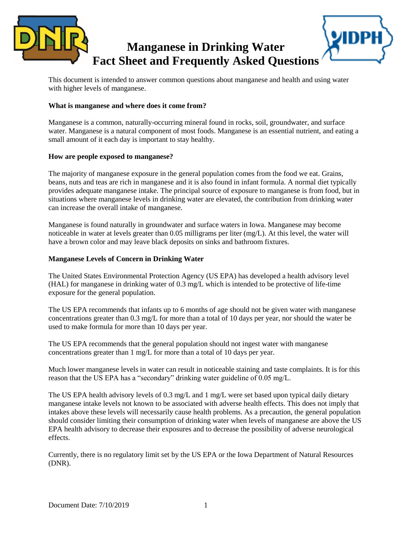

This document is intended to answer common questions about manganese and health and using water with higher levels of manganese.

#### **What is manganese and where does it come from?**

Manganese is a common, naturally-occurring mineral found in rocks, soil, groundwater, and surface water. Manganese is a natural component of most foods. Manganese is an essential nutrient, and eating a small amount of it each day is important to stay healthy.

#### **How are people exposed to manganese?**

The majority of manganese exposure in the general population comes from the food we eat. Grains, beans, nuts and teas are rich in manganese and it is also found in infant formula. A normal diet typically provides adequate manganese intake. The principal source of exposure to manganese is from food, but in situations where manganese levels in drinking water are elevated, the contribution from drinking water can increase the overall intake of manganese.

Manganese is found naturally in groundwater and surface waters in Iowa. Manganese may become noticeable in water at levels greater than 0.05 milligrams per liter (mg/L). At this level, the water will have a brown color and may leave black deposits on sinks and bathroom fixtures.

## **Manganese Levels of Concern in Drinking Water**

The United States Environmental Protection Agency (US EPA) has developed a health advisory level (HAL) for manganese in drinking water of 0.3 mg/L which is intended to be protective of life-time exposure for the general population.

The US EPA recommends that infants up to 6 months of age should not be given water with manganese concentrations greater than 0.3 mg/L for more than a total of 10 days per year, nor should the water be used to make formula for more than 10 days per year.

The US EPA recommends that the general population should not ingest water with manganese concentrations greater than 1 mg/L for more than a total of 10 days per year.

Much lower manganese levels in water can result in noticeable staining and taste complaints. It is for this reason that the US EPA has a "secondary" drinking water guideline of 0.05 mg/L.

The US EPA health advisory levels of 0.3 mg/L and 1 mg/L were set based upon typical daily dietary manganese intake levels not known to be associated with adverse health effects. This does not imply that intakes above these levels will necessarily cause health problems. As a precaution, the general population should consider limiting their consumption of drinking water when levels of manganese are above the US EPA health advisory to decrease their exposures and to decrease the possibility of adverse neurological effects.

Currently, there is no regulatory limit set by the US EPA or the Iowa Department of Natural Resources (DNR).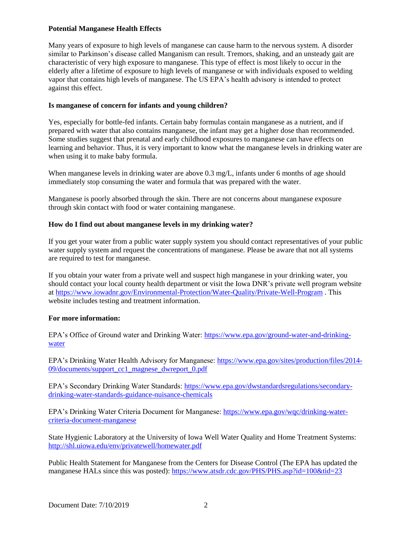## **Potential Manganese Health Effects**

Many years of exposure to high levels of manganese can cause harm to the nervous system. A disorder similar to Parkinson's disease called Manganism can result. Tremors, shaking, and an unsteady gait are characteristic of very high exposure to manganese. This type of effect is most likely to occur in the elderly after a lifetime of exposure to high levels of manganese or with individuals exposed to welding vapor that contains high levels of manganese. The US EPA's health advisory is intended to protect against this effect.

# **Is manganese of concern for infants and young children?**

Yes, especially for bottle-fed infants. Certain baby formulas contain manganese as a nutrient, and if prepared with water that also contains manganese, the infant may get a higher dose than recommended. Some studies suggest that prenatal and early childhood exposures to manganese can have effects on learning and behavior. Thus, it is very important to know what the manganese levels in drinking water are when using it to make baby formula.

When manganese levels in drinking water are above 0.3 mg/L, infants under 6 months of age should immediately stop consuming the water and formula that was prepared with the water.

Manganese is poorly absorbed through the skin. There are not concerns about manganese exposure through skin contact with food or water containing manganese.

# **How do I find out about manganese levels in my drinking water?**

If you get your water from a public water supply system you should contact representatives of your public water supply system and request the concentrations of manganese. Please be aware that not all systems are required to test for manganese.

If you obtain your water from a private well and suspect high manganese in your drinking water, you should contact your local county health department or visit the Iowa DNR's private well program website at<https://www.iowadnr.gov/Environmental-Protection/Water-Quality/Private-Well-Program> . This website includes testing and treatment information.

## **For more information:**

EPA's Office of Ground water and Drinking Water: [https://www.epa.gov/ground-water-and-drinking](https://www.epa.gov/ground-water-and-drinking-water)[water](https://www.epa.gov/ground-water-and-drinking-water)

EPA's Drinking Water Health Advisory for Manganese: [https://www.epa.gov/sites/production/files/2014-](https://www.epa.gov/sites/production/files/2014-09/documents/support_cc1_magnese_dwreport_0.pdf) [09/documents/support\\_cc1\\_magnese\\_dwreport\\_0.pdf](https://www.epa.gov/sites/production/files/2014-09/documents/support_cc1_magnese_dwreport_0.pdf)

EPA's Secondary Drinking Water Standards: [https://www.epa.gov/dwstandardsregulations/secondary](https://www.epa.gov/dwstandardsregulations/secondary-drinking-water-standards-guidance-nuisance-chemicals)[drinking-water-standards-guidance-nuisance-chemicals](https://www.epa.gov/dwstandardsregulations/secondary-drinking-water-standards-guidance-nuisance-chemicals)

EPA's Drinking Water Criteria Document for Manganese: [https://www.epa.gov/wqc/drinking-water](https://www.epa.gov/wqc/drinking-water-criteria-document-manganese)[criteria-document-manganese](https://www.epa.gov/wqc/drinking-water-criteria-document-manganese)

State Hygienic Laboratory at the University of Iowa Well Water Quality and Home Treatment Systems: <http://shl.uiowa.edu/env/privatewell/homewater.pdf>

Public Health Statement for Manganese from the Centers for Disease Control (The EPA has updated the manganese HALs since this was posted):<https://www.atsdr.cdc.gov/PHS/PHS.asp?id=100&tid=23>